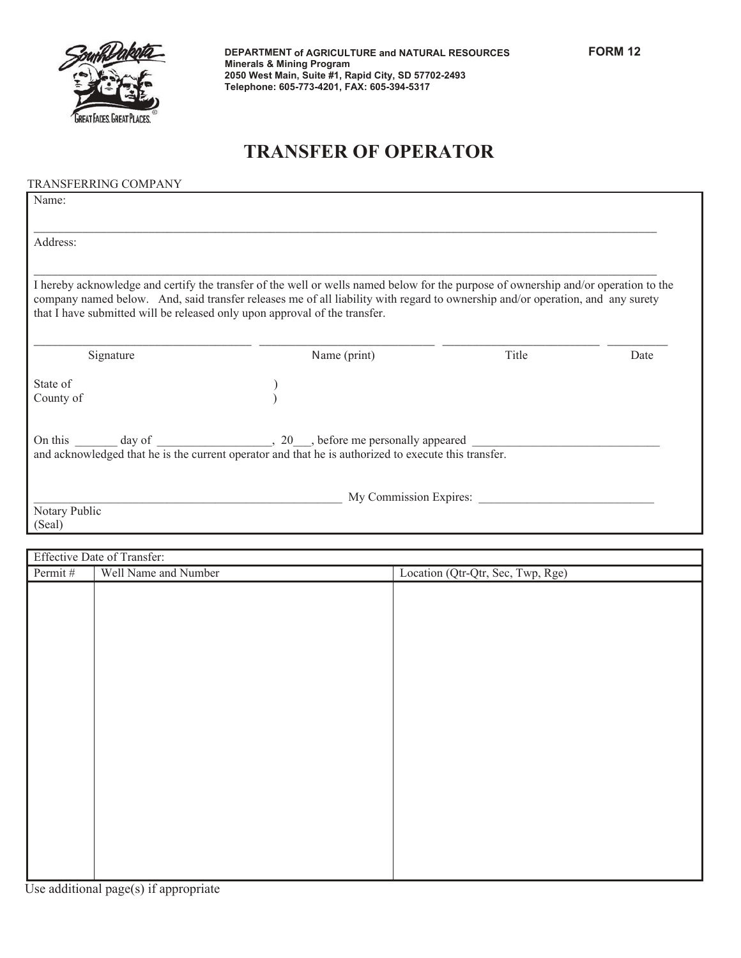

## **TRANSFER OF OPERATOR**

## TRANSFERRING COMPANY

| Name:                   |                                                                                                                                                                                                                                                                                                                                                     |       |      |
|-------------------------|-----------------------------------------------------------------------------------------------------------------------------------------------------------------------------------------------------------------------------------------------------------------------------------------------------------------------------------------------------|-------|------|
| Address:                |                                                                                                                                                                                                                                                                                                                                                     |       |      |
|                         | I hereby acknowledge and certify the transfer of the well or wells named below for the purpose of ownership and/or operation to the<br>company named below. And, said transfer releases me of all liability with regard to ownership and/or operation, and any surety<br>that I have submitted will be released only upon approval of the transfer. |       |      |
| Signature               | Name (print)                                                                                                                                                                                                                                                                                                                                        | Title | Date |
| State of<br>County of   |                                                                                                                                                                                                                                                                                                                                                     |       |      |
| On this<br>day of       | $\sim$ 20 $\sim$ , before me personally appeared<br>and acknowledged that he is the current operator and that he is authorized to execute this transfer.                                                                                                                                                                                            |       |      |
| Notary Public<br>(Seal) | My Commission Expires:                                                                                                                                                                                                                                                                                                                              |       |      |

| Effective Date of Transfer: |                      |                                   |
|-----------------------------|----------------------|-----------------------------------|
| Permit#                     | Well Name and Number | Location (Qtr-Qtr, Sec, Twp, Rge) |
|                             |                      |                                   |
|                             |                      |                                   |
|                             |                      |                                   |
|                             |                      |                                   |
|                             |                      |                                   |
|                             |                      |                                   |
|                             |                      |                                   |
|                             |                      |                                   |
|                             |                      |                                   |
|                             |                      |                                   |
|                             |                      |                                   |
|                             |                      |                                   |
|                             |                      |                                   |
|                             |                      |                                   |
|                             |                      |                                   |
|                             |                      |                                   |
|                             |                      |                                   |
|                             |                      |                                   |
|                             |                      |                                   |
|                             |                      |                                   |